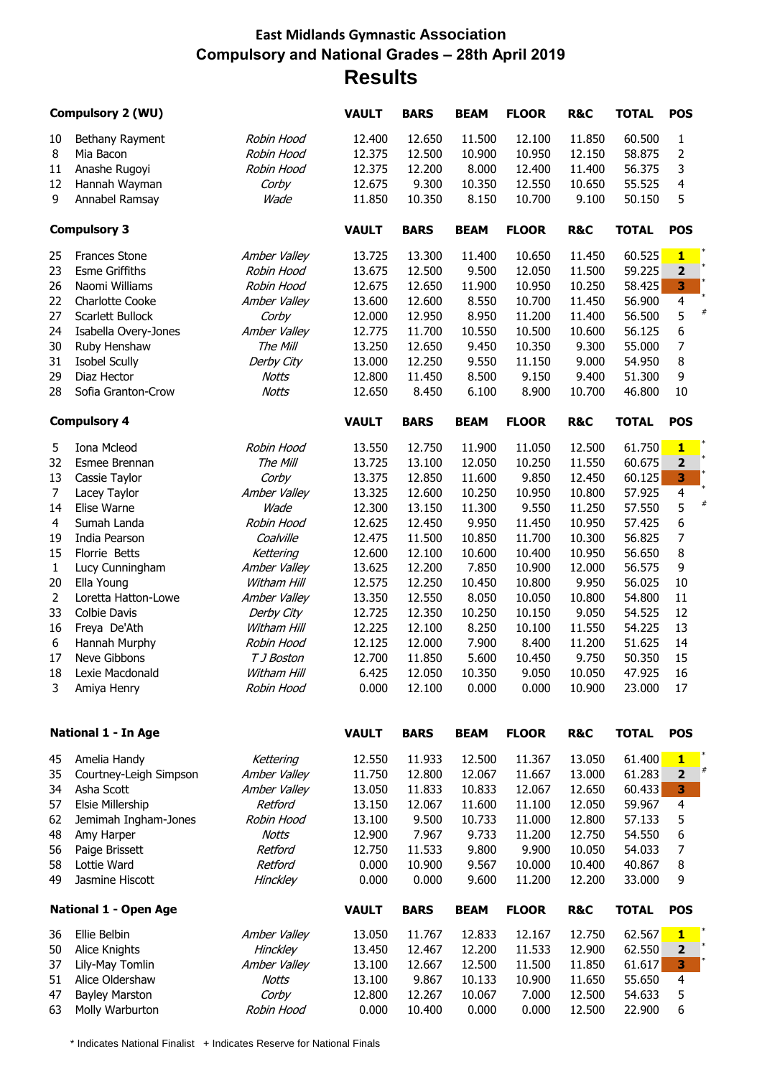## **East Midlands Gymnastic Association Compulsory and National Grades – 28th April 2019 Results**

|                | <b>Compulsory 2 (WU)</b>     |              | <b>VAULT</b> | <b>BARS</b> | <b>BEAM</b> | <b>FLOOR</b> | <b>R&amp;C</b> | <b>TOTAL</b> | <b>POS</b>              |
|----------------|------------------------------|--------------|--------------|-------------|-------------|--------------|----------------|--------------|-------------------------|
| 10             | Bethany Rayment              | Robin Hood   | 12.400       | 12.650      | 11.500      | 12.100       | 11.850         | 60.500       | 1                       |
| $\, 8$         | Mia Bacon                    | Robin Hood   | 12.375       | 12.500      | 10.900      | 10.950       | 12.150         | 58.875       | $\overline{2}$          |
| 11             | Anashe Rugoyi                | Robin Hood   | 12.375       | 12.200      | 8.000       | 12.400       | 11.400         | 56.375       | 3                       |
| 12             | Hannah Wayman                | Corby        | 12.675       | 9.300       | 10.350      | 12.550       | 10.650         | 55.525       | 4                       |
| 9              | Annabel Ramsay               | Wade         | 11.850       | 10.350      | 8.150       | 10.700       | 9.100          | 50.150       | 5                       |
|                | <b>Compulsory 3</b>          |              | <b>VAULT</b> | <b>BARS</b> | <b>BEAM</b> | <b>FLOOR</b> | <b>R&amp;C</b> | <b>TOTAL</b> | <b>POS</b>              |
| 25             | <b>Frances Stone</b>         | Amber Valley | 13.725       | 13.300      | 11.400      | 10.650       | 11.450         | 60.525       | $\mathbf{1}$            |
| 23             | <b>Esme Griffiths</b>        | Robin Hood   | 13.675       | 12.500      | 9.500       | 12.050       | 11.500         | 59.225       | $\mathbf 2$             |
| 26             | Naomi Williams               | Robin Hood   | 12.675       | 12.650      | 11.900      | 10.950       | 10.250         | 58.425       | 3                       |
| 22             | <b>Charlotte Cooke</b>       | Amber Valley | 13.600       | 12.600      | 8.550       | 10.700       | 11.450         | 56.900       | $\overline{\mathbf{r}}$ |
| 27             | Scarlett Bullock             | Corby        | 12.000       | 12.950      | 8.950       | 11.200       | 11.400         | 56.500       | 5                       |
| 24             | Isabella Overy-Jones         | Amber Valley | 12.775       | 11.700      | 10.550      | 10.500       | 10.600         | 56.125       | 6                       |
| 30             | Ruby Henshaw                 | The Mill     | 13.250       | 12.650      | 9.450       | 10.350       | 9.300          | 55.000       | $\boldsymbol{7}$        |
| 31             | <b>Isobel Scully</b>         | Derby City   | 13.000       | 12.250      | 9.550       | 11.150       | 9.000          | 54.950       | 8                       |
| 29             | Diaz Hector                  | <b>Notts</b> | 12.800       | 11.450      | 8.500       | 9.150        | 9.400          | 51.300       | 9                       |
| 28             | Sofia Granton-Crow           | <b>Notts</b> | 12.650       | 8.450       | 6.100       | 8.900        | 10.700         | 46.800       | 10                      |
|                | <b>Compulsory 4</b>          |              | <b>VAULT</b> | <b>BARS</b> | <b>BEAM</b> | <b>FLOOR</b> | <b>R&amp;C</b> | <b>TOTAL</b> | <b>POS</b>              |
| 5              | Iona Mcleod                  | Robin Hood   | 13.550       | 12.750      | 11.900      | 11.050       | 12.500         | 61.750       | $\mathbf{1}$            |
| 32             | Esmee Brennan                | The Mill     | 13.725       | 13.100      | 12.050      | 10.250       | 11.550         | 60.675       | $\overline{\mathbf{2}}$ |
| 13             | Cassie Taylor                | Corby        | 13.375       | 12.850      | 11.600      | 9.850        | 12.450         | 60.125       | 3                       |
| $\overline{7}$ | Lacey Taylor                 | Amber Valley | 13.325       | 12.600      | 10.250      | 10.950       | 10.800         | 57.925       | $\overline{\mathbf{4}}$ |
| 14             | Elise Warne                  | Wade         | 12.300       | 13.150      | 11.300      | 9.550        | 11.250         | 57.550       | 5                       |
| 4              | Sumah Landa                  | Robin Hood   | 12.625       | 12.450      | 9.950       | 11.450       | 10.950         | 57.425       | 6                       |
| 19             | India Pearson                | Coalville    | 12.475       | 11.500      | 10.850      | 11.700       | 10.300         | 56.825       | 7                       |
| 15             | Florrie Betts                | Kettering    | 12.600       | 12.100      | 10.600      | 10.400       | 10.950         | 56.650       | 8                       |
|                |                              |              | 13.625       | 12.200      | 7.850       | 10.900       | 12.000         | 56.575       | 9                       |
| $\mathbf{1}$   | Lucy Cunningham              | Amber Valley |              |             |             |              |                |              |                         |
| 20             | Ella Young                   | Witham Hill  | 12.575       | 12.250      | 10.450      | 10.800       | 9.950          | 56.025       | $10\,$                  |
| $\overline{c}$ | Loretta Hatton-Lowe          | Amber Valley | 13.350       | 12.550      | 8.050       | 10.050       | 10.800         | 54.800       | 11                      |
| 33             | <b>Colbie Davis</b>          | Derby City   | 12.725       | 12.350      | 10.250      | 10.150       | 9.050          | 54.525       | 12                      |
| 16             | Freya De'Ath                 | Witham Hill  | 12.225       | 12.100      | 8.250       | 10.100       | 11.550         | 54.225       | 13                      |
| 6              | Hannah Murphy                | Robin Hood   | 12.125       | 12.000      | 7.900       | 8.400        | 11.200         | 51.625       | 14                      |
| 17             | Neve Gibbons                 | T J Boston   | 12.700       | 11.850      | 5.600       | 10.450       | 9.750          | 50.350       | 15                      |
| 18             | Lexie Macdonald              | Witham Hill  | 6.425        | 12.050      | 10.350      | 9.050        | 10.050         | 47.925       | 16                      |
| 3              | Amiya Henry                  | Robin Hood   | 0.000        | 12.100      | 0.000       | 0.000        | 10.900         | 23.000       | 17                      |
|                | <b>National 1 - In Age</b>   |              | <b>VAULT</b> | <b>BARS</b> | <b>BEAM</b> | <b>FLOOR</b> | R&C            | <b>TOTAL</b> | <b>POS</b>              |
| 45             | Amelia Handy                 | Kettering    | 12.550       | 11.933      | 12.500      | 11.367       | 13.050         | 61.400       | $\mathbf{1}$            |
| 35             | Courtney-Leigh Simpson       | Amber Valley | 11.750       | 12.800      | 12.067      | 11.667       | 13.000         | 61.283       | #<br>$\mathbf 2$        |
| 34             | Asha Scott                   | Amber Valley | 13.050       | 11.833      | 10.833      | 12.067       | 12.650         | 60.433       | 3                       |
| 57             | Elsie Millership             | Retford      | 13.150       | 12.067      | 11.600      | 11.100       | 12.050         | 59.967       | 4                       |
| 62             | Jemimah Ingham-Jones         | Robin Hood   | 13.100       | 9.500       | 10.733      | 11.000       | 12.800         | 57.133       | 5                       |
| 48             | Amy Harper                   | <b>Notts</b> | 12.900       | 7.967       | 9.733       | 11.200       | 12.750         | 54.550       | 6                       |
| 56             | Paige Brissett               | Retford      | 12.750       | 11.533      | 9.800       | 9.900        | 10.050         | 54.033       | 7                       |
| 58             | Lottie Ward                  | Retford      | 0.000        | 10.900      | 9.567       | 10.000       | 10.400         | 40.867       | 8                       |
| 49             | Jasmine Hiscott              | Hinckley     | 0.000        | 0.000       | 9.600       | 11.200       | 12.200         | 33.000       | 9                       |
|                | <b>National 1 - Open Age</b> |              | <b>VAULT</b> | <b>BARS</b> | <b>BEAM</b> | <b>FLOOR</b> | <b>R&amp;C</b> | <b>TOTAL</b> | <b>POS</b>              |
| 36             | Ellie Belbin                 | Amber Valley | 13.050       | 11.767      | 12.833      | 12.167       | 12.750         | 62.567       | $\mathbf{1}$            |
| 50             | Alice Knights                | Hinckley     | 13.450       | 12.467      | 12.200      | 11.533       | 12.900         | 62.550       | $\mathbf{2}$            |
| 37             | Lily-May Tomlin              | Amber Valley | 13.100       | 12.667      | 12.500      | 11.500       | 11.850         | 61.617       | 3                       |
| 51             | Alice Oldershaw              | <b>Notts</b> | 13.100       | 9.867       | 10.133      | 10.900       | 11.650         | 55.650       | 4                       |
| 47             | <b>Bayley Marston</b>        | Corby        | 12.800       | 12.267      | 10.067      | 7.000        | 12.500         | 54.633       | 5                       |
| 63             | Molly Warburton              | Robin Hood   | 0.000        | 10.400      | 0.000       | 0.000        | 12.500         | 22.900       | 6                       |

\* Indicates National Finalist + Indicates Reserve for National Finals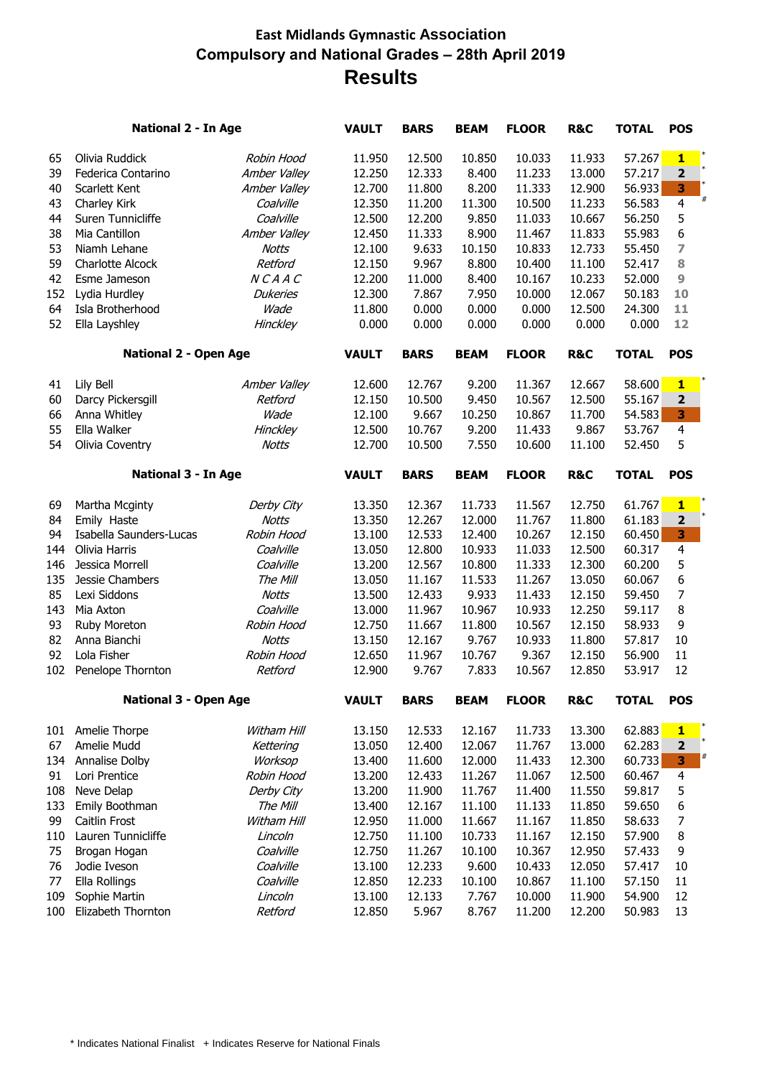## **East Midlands Gymnastic Association Compulsory and National Grades – 28th April 2019 Results**

|                            | <b>National 2 - In Age</b>   |                              | <b>VAULT</b> | <b>BARS</b> | <b>BEAM</b>  | <b>FLOOR</b>   | <b>R&amp;C</b> | <b>TOTAL</b> | <b>POS</b>              |
|----------------------------|------------------------------|------------------------------|--------------|-------------|--------------|----------------|----------------|--------------|-------------------------|
| 65                         | Olivia Ruddick               | Robin Hood                   | 11.950       | 12.500      | 10.850       | 10.033         | 11.933         | 57.267       | $\mathbf{1}$            |
| 39                         | Federica Contarino           | Amber Valley                 | 12.250       | 12.333      | 8.400        | 11.233         | 13.000         | 57.217       | $\mathbf{2}$            |
| 40                         | Scarlett Kent                | Amber Valley                 | 12.700       | 11.800      | 8.200        | 11.333         | 12.900         | 56.933       | 3                       |
| 43                         | Charley Kirk                 | Coalville                    | 12.350       | 11.200      | 11.300       | 10.500         | 11.233         | 56.583       | #<br>$\overline{4}$     |
| 44                         | Suren Tunnicliffe            | Coalville                    | 12.500       | 12.200      | 9.850        | 11.033         | 10.667         | 56.250       | 5                       |
| 38                         | Mia Cantillon                | Amber Valley                 | 12.450       | 11.333      | 8.900        | 11.467         | 11.833         | 55.983       | 6                       |
| 53                         | Niamh Lehane                 | <b>Notts</b>                 | 12.100       | 9.633       | 10.150       | 10.833         | 12.733         | 55.450       | 7                       |
| 59                         | <b>Charlotte Alcock</b>      | Retford                      | 12.150       | 9.967       | 8.800        | 10.400         | 11.100         | 52.417       | 8                       |
| 42                         | Esme Jameson                 | NCAAC                        | 12.200       | 11.000      | 8.400        | 10.167         | 10.233         | 52.000       | 9                       |
| 152                        | Lydia Hurdley                | <b>Dukeries</b>              | 12.300       | 7.867       | 7.950        | 10.000         | 12.067         | 50.183       | 10                      |
| 64                         | Isla Brotherhood             | Wade                         | 11.800       | 0.000       | 0.000        | 0.000          | 12.500         | 24.300       | 11                      |
| 52                         | Ella Layshley                | Hinckley                     | 0.000        | 0.000       | 0.000        | 0.000          | 0.000          | 0.000        | 12                      |
|                            |                              | <b>National 2 - Open Age</b> |              | <b>BARS</b> | <b>BEAM</b>  | <b>FLOOR</b>   | <b>R&amp;C</b> | <b>TOTAL</b> | <b>POS</b>              |
| 41                         | Lily Bell                    | Amber Valley                 | 12.600       | 12.767      | 9.200        | 11.367         | 12.667         | 58.600       | $\mathbf{1}$            |
| 60                         | Darcy Pickersgill            | Retford                      | 12.150       | 10.500      | 9.450        | 10.567         | 12.500         | 55.167       | $\overline{\mathbf{2}}$ |
| 66                         | Anna Whitley                 | Wade                         | 12.100       | 9.667       | 10.250       | 10.867         | 11.700         | 54.583       | 3                       |
| 55                         | Ella Walker                  | <b>Hinckley</b>              | 12.500       | 10.767      | 9.200        | 11.433         | 9.867          | 53.767       | $\overline{4}$          |
| 54                         | Olivia Coventry              | <b>Notts</b>                 | 12.700       | 10.500      | 7.550        | 10.600         | 11.100         | 52.450       | 5                       |
|                            |                              |                              |              |             |              |                |                |              |                         |
| <b>National 3 - In Age</b> |                              |                              | <b>VAULT</b> | <b>BARS</b> | <b>BEAM</b>  | <b>FLOOR</b>   | <b>R&amp;C</b> | <b>TOTAL</b> | <b>POS</b>              |
| 69                         | Martha Mcginty               | Derby City                   | 13.350       | 12.367      | 11.733       | 11.567         | 12.750         | 61.767       | $\mathbf{1}$            |
| 84                         | Emily Haste                  | <b>Notts</b>                 | 13.350       | 12.267      | 12.000       | 11.767         | 11.800         | 61.183       | $\mathbf{2}$            |
| 94                         | Isabella Saunders-Lucas      | Robin Hood                   | 13.100       | 12.533      | 12.400       | 10.267         | 12.150         | 60.450       | 3                       |
| 144                        | Olivia Harris                | Coalville                    | 13.050       | 12.800      | 10.933       | 11.033         | 12.500         | 60.317       | 4                       |
| 146                        | Jessica Morrell              | Coalville                    | 13.200       | 12.567      | 10.800       | 11.333         | 12.300         | 60.200       | 5                       |
| 135                        | Jessie Chambers              | The Mill                     | 13.050       | 11.167      | 11.533       | 11.267         | 13.050         | 60.067       | 6                       |
| 85                         | Lexi Siddons                 | <b>Notts</b>                 | 13.500       | 12.433      | 9.933        | 11.433         | 12.150         | 59.450       | 7                       |
| 143                        | Mia Axton                    | Coalville                    | 13.000       | 11.967      | 10.967       | 10.933         | 12.250         | 59.117       | 8                       |
| 93                         | Ruby Moreton                 | Robin Hood                   | 12.750       | 11.667      | 11.800       | 10.567         | 12.150         | 58.933       | 9                       |
| 82                         | Anna Bianchi                 | <b>Notts</b>                 | 13.150       | 12.167      | 9.767        | 10.933         | 11.800         | 57.817       | 10                      |
| 92                         | Lola Fisher                  | Robin Hood                   | 12.650       | 11.967      | 10.767       | 9.367          | 12.150         | 56.900       | 11                      |
| 102                        | Penelope Thornton            | Retford                      | 12.900       | 9.767       | 7.833        | 10.567         | 12.850         | 53.917       | 12                      |
|                            | <b>National 3 - Open Age</b> | <b>VAULT</b>                 | <b>BARS</b>  | <b>BEAM</b> | <b>FLOOR</b> | <b>R&amp;C</b> | <b>TOTAL</b>   | <b>POS</b>   |                         |
| 101                        | Amelie Thorpe                | Witham Hill                  | 13.150       | 12.533      | 12.167       | 11.733         | 13.300         | 62.883       | $\mathbf{1}$            |
| 67                         | Amelie Mudd                  | Kettering                    | 13.050       | 12.400      | 12.067       | 11.767         | 13.000         | 62.283       | $\mathbf 2$             |
| 134                        | <b>Annalise Dolby</b>        | Worksop                      | 13.400       | 11.600      | 12.000       | 11.433         | 12.300         | 60.733       | #<br>3                  |
| 91                         | Lori Prentice                | Robin Hood                   | 13.200       | 12.433      | 11.267       | 11.067         | 12.500         | 60.467       | $\overline{\mathbf{4}}$ |
| 108                        | Neve Delap                   | Derby City                   | 13.200       | 11.900      | 11.767       | 11.400         | 11.550         | 59.817       | 5                       |
| 133                        | Emily Boothman               | The Mill                     | 13.400       | 12.167      | 11.100       | 11.133         | 11.850         | 59.650       | 6                       |
| 99                         | Caitlin Frost                | Witham Hill                  | 12.950       | 11.000      | 11.667       | 11.167         | 11.850         | 58.633       | 7                       |
| 110                        | Lauren Tunnicliffe           | Lincoln                      | 12.750       | 11.100      | 10.733       | 11.167         | 12.150         | 57.900       | 8                       |
| 75                         | Brogan Hogan                 | Coalville                    | 12.750       | 11.267      | 10.100       | 10.367         | 12.950         | 57.433       | 9                       |
| 76                         | Jodie Iveson                 | Coalville                    | 13.100       | 12.233      | 9.600        | 10.433         | 12.050         | 57.417       | 10                      |
| 77                         | Ella Rollings                | Coalville                    | 12.850       | 12.233      | 10.100       | 10.867         | 11.100         | 57.150       | 11                      |
| 109                        | Sophie Martin                | Lincoln                      | 13.100       | 12.133      | 7.767        | 10.000         | 11.900         | 54.900       | 12                      |
| 100                        | Elizabeth Thornton           | Retford                      | 12.850       | 5.967       | 8.767        | 11.200         | 12.200         | 50.983       | 13                      |